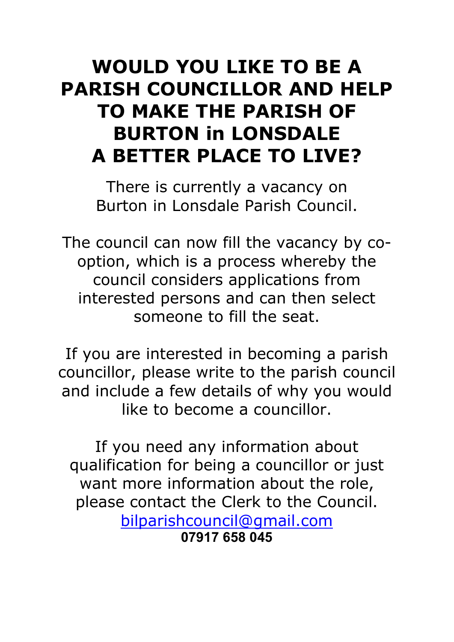## WOULD YOU LIKE TO BE A PARISH COUNCILLOR AND HELP TO MAKE THE PARISH OF BURTON in LONSDALE A BETTER PLACE TO LIVE?

There is currently a vacancy on Burton in Lonsdale Parish Council.

The council can now fill the vacancy by cooption, which is a process whereby the council considers applications from interested persons and can then select someone to fill the seat.

If you are interested in becoming a parish councillor, please write to the parish council and include a few details of why you would like to become a councillor.

If you need any information about qualification for being a councillor or just want more information about the role, please contact the Clerk to the Council. bilparishcouncil@gmail.com 07917 658 045